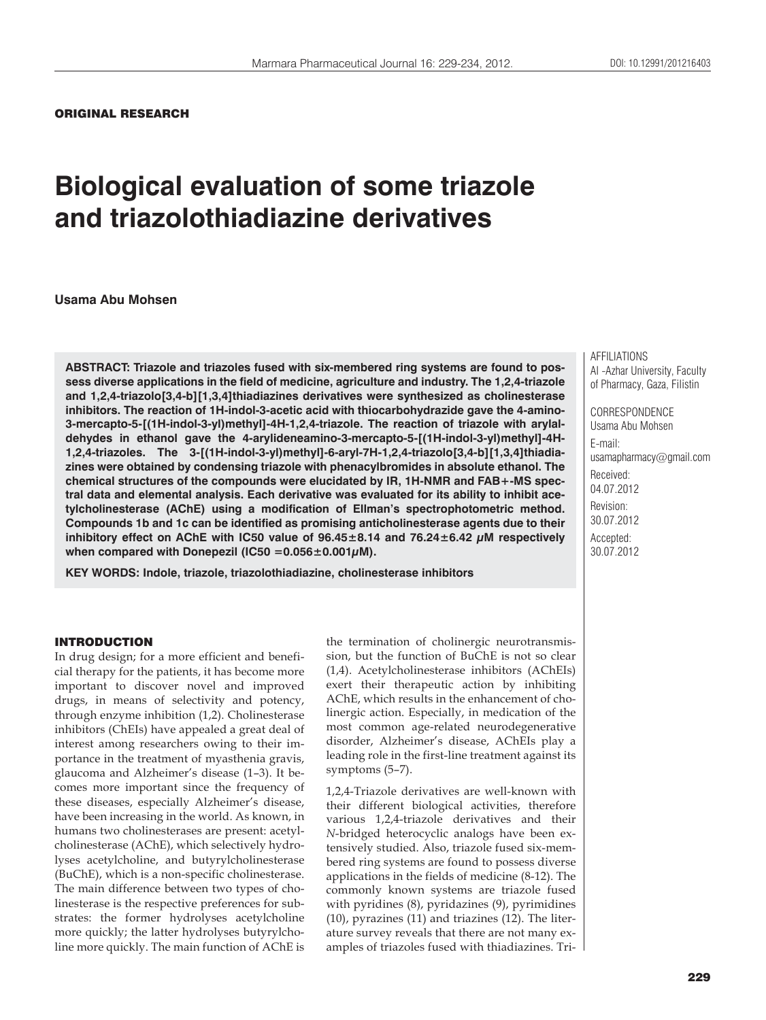ORIGINAL RESEARCH

# **Biological evaluation of some triazole and triazolothiadiazine derivatives**

## **Usama Abu Mohsen**

**ABSTRACT: Triazole and triazoles fused with six-membered ring systems are found to possess diverse applications in the field of medicine, agriculture and industry. The 1,2,4-triazole and 1,2,4-triazolo[3,4-b][1,3,4]thiadiazines derivatives were synthesized as cholinesterase inhibitors. The reaction of 1H-indol-3-acetic acid with thiocarbohydrazide gave the 4-amino-3-mercapto-5-[(1H-indol-3-yl)methyl]-4H-1,2,4-triazole. The reaction of triazole with arylaldehydes in ethanol gave the 4-arylideneamino-3-mercapto-5-[(1H-indol-3-yl)methyl]-4H-1,2,4-triazoles. The 3-[(1H-indol-3-yl)methyl]-6-aryl-7H-1,2,4-triazolo[3,4-b][1,3,4]thiadiazines were obtained by condensing triazole with phenacylbromides in absolute ethanol. The chemical structures of the compounds were elucidated by IR, 1H-NMR and FAB+-MS spectral data and elemental analysis. Each derivative was evaluated for its ability to inhibit acetylcholinesterase (AChE) using a modification of Ellman's spectrophotometric method. Compounds 1b and 1c can be identified as promising anticholinesterase agents due to their inhibitory effect on AChE with IC50 value of 96.45±8.14 and 76.24±6.42 μM respectively when compared with Donepezil (IC50 =0.056±0.001μM).**

**KEY WORDS: Indole, triazole, triazolothiadiazine, cholinesterase inhibitors**

AFFILIATIONS Al -Azhar University, Faculty of Pharmacy, Gaza, Filistin

**CORRESPONDENCE** Usama Abu Mohsen E-mail: usamapharmacy@gmail.com Received: 04.07.2012 Revision: 30.07.2012 Accepted: 30.07.2012

## INTRODUCTION

In drug design; for a more efficient and beneficial therapy for the patients, it has become more important to discover novel and improved drugs, in means of selectivity and potency, through enzyme inhibition (1,2). Cholinesterase inhibitors (ChEIs) have appealed a great deal of interest among researchers owing to their importance in the treatment of myasthenia gravis, glaucoma and Alzheimer's disease (1–3). It becomes more important since the frequency of these diseases, especially Alzheimer's disease, have been increasing in the world. As known, in humans two cholinesterases are present: acetylcholinesterase (AChE), which selectively hydrolyses acetylcholine, and butyrylcholinesterase (BuChE), which is a non-specific cholinesterase. The main difference between two types of cholinesterase is the respective preferences for substrates: the former hydrolyses acetylcholine more quickly; the latter hydrolyses butyrylcholine more quickly. The main function of AChE is

the termination of cholinergic neurotransmission, but the function of BuChE is not so clear (1,4). Acetylcholinesterase inhibitors (AChEIs) exert their therapeutic action by inhibiting AChE, which results in the enhancement of cholinergic action. Especially, in medication of the most common age-related neurodegenerative disorder, Alzheimer's disease, AChEIs play a leading role in the first-line treatment against its symptoms (5–7).

1,2,4-Triazole derivatives are well-known with their different biological activities, therefore various 1,2,4-triazole derivatives and their *N*-bridged heterocyclic analogs have been extensively studied. Also, triazole fused six-membered ring systems are found to possess diverse applications in the fields of medicine (8-12). The commonly known systems are triazole fused with pyridines (8), pyridazines (9), pyrimidines (10), pyrazines (11) and triazines (12). The literature survey reveals that there are not many examples of triazoles fused with thiadiazines. Tri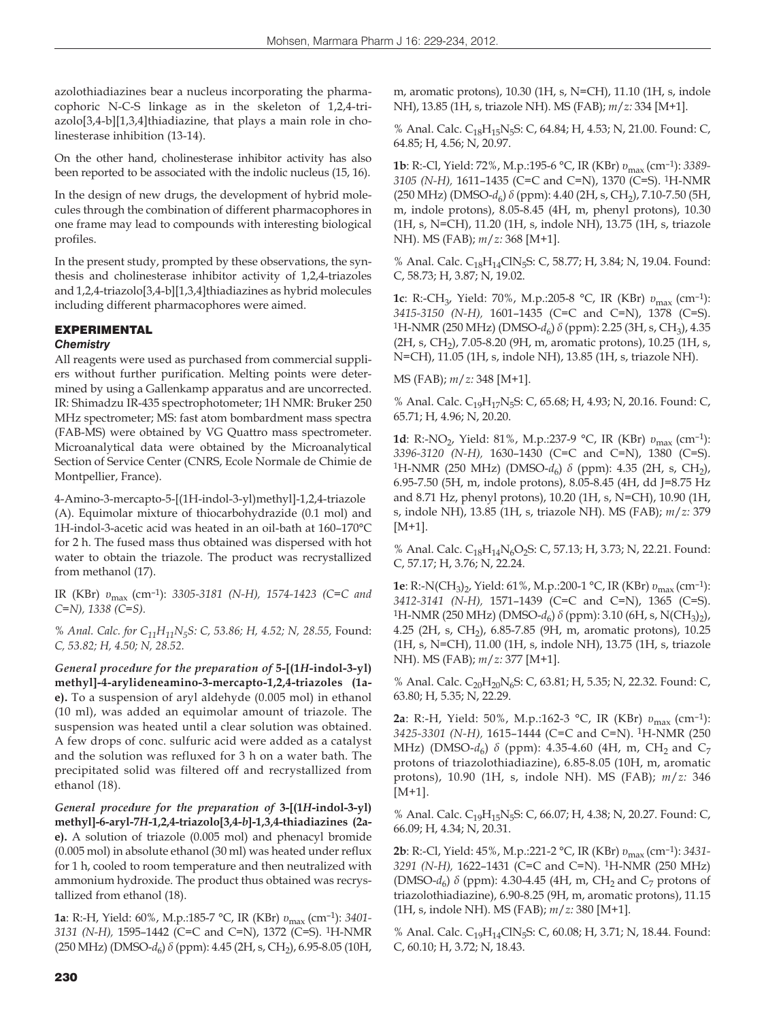azolothiadiazines bear a nucleus incorporating the pharmacophoric N-C-S linkage as in the skeleton of 1,2,4-triazolo[3,4-b][1,3,4]thiadiazine, that plays a main role in cholinesterase inhibition (13-14).

On the other hand, cholinesterase inhibitor activity has also been reported to be associated with the indolic nucleus (15, 16).

In the design of new drugs, the development of hybrid molecules through the combination of different pharmacophores in one frame may lead to compounds with interesting biological profiles.

In the present study, prompted by these observations, the synthesis and cholinesterase inhibitor activity of 1,2,4-triazoles and 1,2,4-triazolo[3,4-b][1,3,4]thiadiazines as hybrid molecules including different pharmacophores were aimed.

# EXPERIMENTAL

## *Chemistry*

All reagents were used as purchased from commercial suppliers without further purification. Melting points were determined by using a Gallenkamp apparatus and are uncorrected. IR: Shimadzu IR-435 spectrophotometer; 1H NMR: Bruker 250 MHz spectrometer; MS: fast atom bombardment mass spectra (FAB-MS) were obtained by VG Quattro mass spectrometer. Microanalytical data were obtained by the Microanalytical Section of Service Center (CNRS, Ecole Normale de Chimie de Montpellier, France).

4-Amino-3-mercapto-5-[(1H-indol-3-yl)methyl]-1,2,4-triazole (A). Equimolar mixture of thiocarbohydrazide (0.1 mol) and 1H-indol-3-acetic acid was heated in an oil-bath at 160–170°C for 2 h. The fused mass thus obtained was dispersed with hot water to obtain the triazole. The product was recrystallized from methanol (17).

IR (KBr) *υ*max (cm–1): *3305-3181 (N-H), 1574-1423 (C=C and C=N), 1338 (C=S).*

% *Anal. Calc. for C11H11N5S: C, 53.86; H, 4.52; N, 28.55,* Found: *C, 53.82; H, 4.50; N, 28.52.*

*General procedure for the preparation of* **5-[(1***H***-indol-3-yl) methyl]-4-arylideneamino-3-mercapto-1,2,4-triazoles (1ae).** To a suspension of aryl aldehyde (0.005 mol) in ethanol (10 ml), was added an equimolar amount of triazole. The suspension was heated until a clear solution was obtained. A few drops of conc. sulfuric acid were added as a catalyst and the solution was refluxed for 3 h on a water bath. The precipitated solid was filtered off and recrystallized from ethanol (18).

*General procedure for the preparation of* **3-[(1***H***-indol-3-yl) methyl]-6-aryl-7***H***-1,2,4-triazolo[3,4-***b***]-1,3,4-thiadiazines (2ae).** A solution of triazole (0.005 mol) and phenacyl bromide (0.005 mol) in absolute ethanol (30 ml) was heated under reflux for 1 h, cooled to room temperature and then neutralized with ammonium hydroxide. The product thus obtained was recrystallized from ethanol (18).

**1a**: R:-H, Yield: 60%, M.p.:185-7 °C, IR (KBr) *υ*max (cm–1): *3401- 3131 (N-H),* 1595–1442 (C=C and C=N), 1372 (C=S). 1H-NMR (250 MHz) (DMSO-d<sub>6</sub>) δ (ppm): 4.45 (2H, s, CH<sub>2</sub>), 6.95-8.05 (10H, m, aromatic protons), 10.30 (1H, s, N=CH), 11.10 (1H, s, indole NH), 13.85 (1H, s, triazole NH). MS (FAB); *m*/*z:* 334 [M+1].

% Anal. Calc. C<sub>18</sub>H<sub>15</sub>N<sub>5</sub>S: C, 64.84; H, 4.53; N, 21.00. Found: C, 64.85; H, 4.56; N, 20.97.

**1b**: R:-Cl, Yield: 72%, M.p.:195-6 °C, IR (KBr) *υ*max (cm–1): *3389- 3105 (N-H),* 1611–1435 (C=C and C=N), 1370 (C=S). 1H-NMR (250 MHz) (DMSO-d<sub>6</sub>) δ (ppm): 4.40 (2H, s, CH<sub>2</sub>), 7.10-7.50 (5H, m, indole protons), 8.05-8.45 (4H, m, phenyl protons), 10.30 (1H, s, N=CH), 11.20 (1H, s, indole NH), 13.75 (1H, s, triazole NH). MS (FAB); *m*/*z:* 368 [M+1].

% Anal. Calc. C<sub>18</sub>H<sub>14</sub>ClN<sub>5</sub>S: C, 58.77; H, 3.84; N, 19.04. Found: C, 58.73; H, 3.87; N, 19.02.

**1c**: R:-CH<sub>3</sub>, Yield: 70%, M.p.:205-8 °C, IR (KBr)  $v_{\text{max}}$  (cm<sup>-1</sup>): *3415-3150 (N-H),* 1601–1435 (C=C and C=N), 1378 (C=S). <sup>1</sup>H-NMR (250 MHz) (DMSO-*d*<sub>6</sub>) *δ* (ppm): 2.25 (3H, s, CH<sub>3</sub>), 4.35  $(2H, s, CH<sub>2</sub>)$ , 7.05-8.20 (9H, m, aromatic protons), 10.25 (1H, s, N=CH), 11.05 (1H, s, indole NH), 13.85 (1H, s, triazole NH).

## MS (FAB); *m*/*z:* 348 [M+1].

% Anal. Calc. C<sub>19</sub>H<sub>17</sub>N<sub>5</sub>S: C, 65.68; H, 4.93; N, 20.16. Found: C, 65.71; H, 4.96; N, 20.20.

**1d**: R:-NO<sub>2</sub>, Yield: 81%, M.p.:237-9 °C, IR (KBr)  $v_{\text{max}}$  (cm<sup>-1</sup>): *3396-3120 (N-H),* 1630–1430 (C=C and C=N), 1380 (C=S). <sup>1</sup>H-NMR (250 MHz) (DMSO-d<sub>6</sub>) *δ* (ppm): 4.35 (2H, s, CH<sub>2</sub>), 6.95-7.50 (5H, m, indole protons), 8.05-8.45 (4H, dd J=8.75 Hz and 8.71 Hz, phenyl protons), 10.20 (1H, s, N=CH), 10.90 (1H, s, indole NH), 13.85 (1H, s, triazole NH). MS (FAB); *m*/*z:* 379 [M+1].

% Anal. Calc. C<sub>18</sub>H<sub>14</sub>N<sub>6</sub>O<sub>2</sub>S: C, 57.13; H, 3.73; N, 22.21. Found: C, 57.17; H, 3.76; N, 22.24.

**1e**: R:-N(CH<sub>3</sub>)<sub>2</sub>, Yield: 61%, M.p.:200-1 °C, IR (KBr)  $v_{\text{max}}$  (cm<sup>-1</sup>): *3412-3141 (N-H),* 1571–1439 (C=C and C=N), 1365 (C=S). <sup>1</sup>H-NMR (250 MHz) (DMSO-*d*<sub>6</sub>) *δ* (ppm): 3.10 (6H, s, N(CH<sub>3</sub>)<sub>2</sub>), 4.25 (2H, s, CH<sub>2</sub>), 6.85-7.85 (9H, m, aromatic protons), 10.25 (1H, s, N=CH), 11.00 (1H, s, indole NH), 13.75 (1H, s, triazole NH). MS (FAB); *m*/*z:* 377 [M+1].

% Anal. Calc.  $C_{20}H_{20}N_6S$ : C, 63.81; H, 5.35; N, 22.32. Found: C, 63.80; H, 5.35; N, 22.29.

**2a**: R:-H, Yield: 50%, M.p.:162-3 °C, IR (KBr) *υ*max (cm–1): *3425-3301 (N-H),* 1615–1444 (C=C and C=N). 1H-NMR (250 MHz) (DMSO-*d*<sub>6</sub>) *δ* (ppm): 4.35-4.60 (4H, m, CH<sub>2</sub> and C<sub>7</sub> protons of triazolothiadiazine), 6.85-8.05 (10H, m, aromatic protons), 10.90 (1H, s, indole NH). MS (FAB); *m*/*z:* 346  $[M+1]$ .

% Anal. Calc.  $C_{19}H_{15}N_5S$ : C, 66.07; H, 4.38; N, 20.27. Found: C, 66.09; H, 4.34; N, 20.31.

**2b**: R:-Cl, Yield: 45%, M.p.:221-2 °C, IR (KBr) *υ*max (cm–1): *3431- 3291 (N-H),* 1622–1431 (C=C and C=N). 1H-NMR (250 MHz) (DMSO-*d*<sub>6</sub>) *δ* (ppm): 4.30-4.45 (4H, m, CH<sub>2</sub> and C<sub>7</sub> protons of triazolothiadiazine), 6.90-8.25 (9H, m, aromatic protons), 11.15 (1H, s, indole NH). MS (FAB); *m*/*z:* 380 [M+1].

% Anal. Calc. C<sub>19</sub>H<sub>14</sub>ClN<sub>5</sub>S: C, 60.08; H, 3.71; N, 18.44. Found: C, 60.10; H, 3.72; N, 18.43.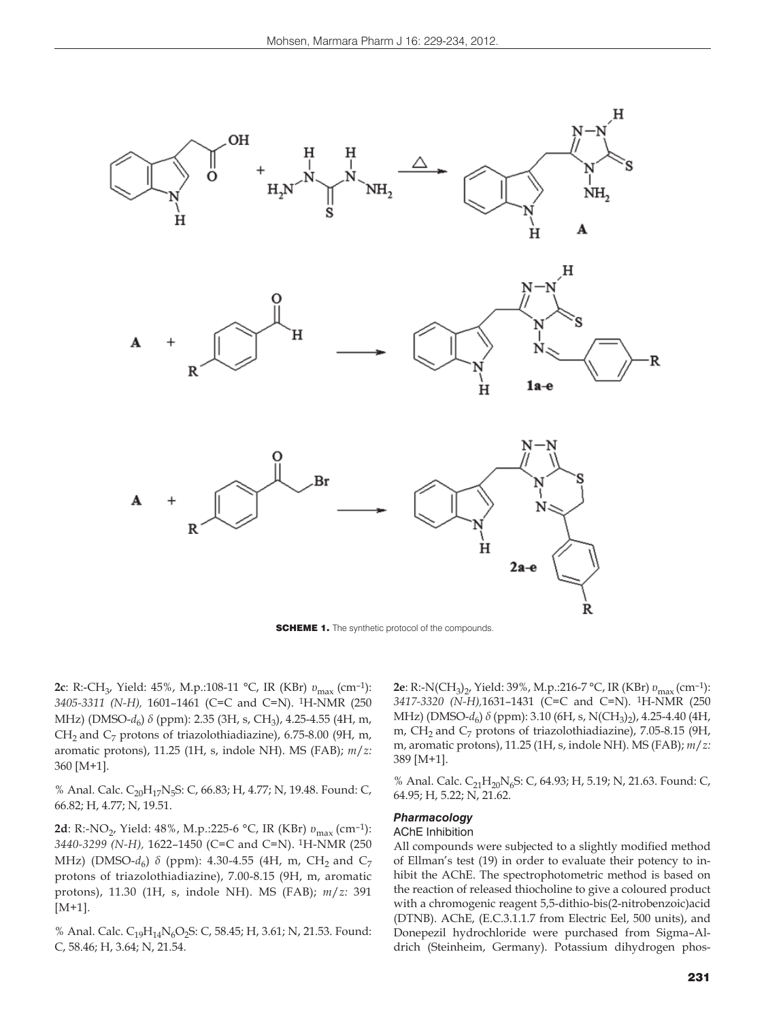

**SCHEME 1.** The synthetic protocol of the compounds

**2c**: R:-CH3, Yield: 45%, M.p.:108-11 °C, IR (KBr) *υ*max (cm–1): *3405-3311 (N-H),* 1601–1461 (C=C and C=N). 1H-NMR (250 MHz) (DMSO-*d*<sub>6</sub>) *δ* (ppm): 2.35 (3H, s, CH<sub>3</sub>), 4.25-4.55 (4H, m, CH<sub>2</sub> and C<sub>7</sub> protons of triazolothiadiazine), 6.75-8.00 (9H, m, aromatic protons), 11.25 (1H, s, indole NH). MS (FAB); *m*/*z:*  360 [M+1].

% Anal. Calc. C<sub>20</sub>H<sub>17</sub>N<sub>5</sub>S: C, 66.83; H, 4.77; N, 19.48. Found: C, 66.82; H, 4.77; N, 19.51.

**2d**: R:-NO2, Yield: 48%, M.p.:225-6 °C, IR (KBr) *υ*max (cm–1): *3440-3299 (N-H),* 1622–1450 (C=C and C=N). 1H-NMR (250 MHz) (DMSO-*d*<sub>6</sub>) *δ* (ppm): 4.30-4.55 (4H, m, CH<sub>2</sub> and C<sub>7</sub> protons of triazolothiadiazine), 7.00-8.15 (9H, m, aromatic protons), 11.30 (1H, s, indole NH). MS (FAB); *m*/*z:* 391 [M+1].

% Anal. Calc. C<sub>19</sub>H<sub>14</sub>N<sub>6</sub>O<sub>2</sub>S: C, 58.45; H, 3.61; N, 21.53. Found: C, 58.46; H, 3.64; N, 21.54.

**2e**: R:-N(CH<sub>3</sub>)<sub>2</sub>, Yield: 39%, M.p.:216-7 °C, IR (KBr)  $v_{\text{max}}$  (cm<sup>-1</sup>): *3417-3320 (N-H),*1631–1431 (C=C and C=N). 1H-NMR (250 MHz) (DMSO-*d*<sub>6</sub>) *δ* (ppm): 3.10 (6H, s, N(CH<sub>3</sub>)<sub>2</sub>), 4.25-4.40 (4H, m,  $CH<sub>2</sub>$  and  $C<sub>7</sub>$  protons of triazolothiadiazine), 7.05-8.15 (9H, m, aromatic protons), 11.25 (1H, s, indole NH). MS (FAB); *m*/*z:*  389 [M+1].

% Anal. Calc. C<sub>21</sub>H<sub>20</sub>N<sub>6</sub>S: C, 64.93; H, 5.19; N, 21.63. Found: C, 64.95; H, 5.22; N, 21.62.

#### *Pharmacology*

#### AChE Inhibition

All compounds were subjected to a slightly modified method of Ellman's test (19) in order to evaluate their potency to inhibit the AChE. The spectrophotometric method is based on the reaction of released thiocholine to give a coloured product with a chromogenic reagent 5,5-dithio-bis(2-nitrobenzoic)acid (DTNB). AChE, (E.C.3.1.1.7 from Electric Eel, 500 units), and Donepezil hydrochloride were purchased from Sigma–Aldrich (Steinheim, Germany). Potassium dihydrogen phos-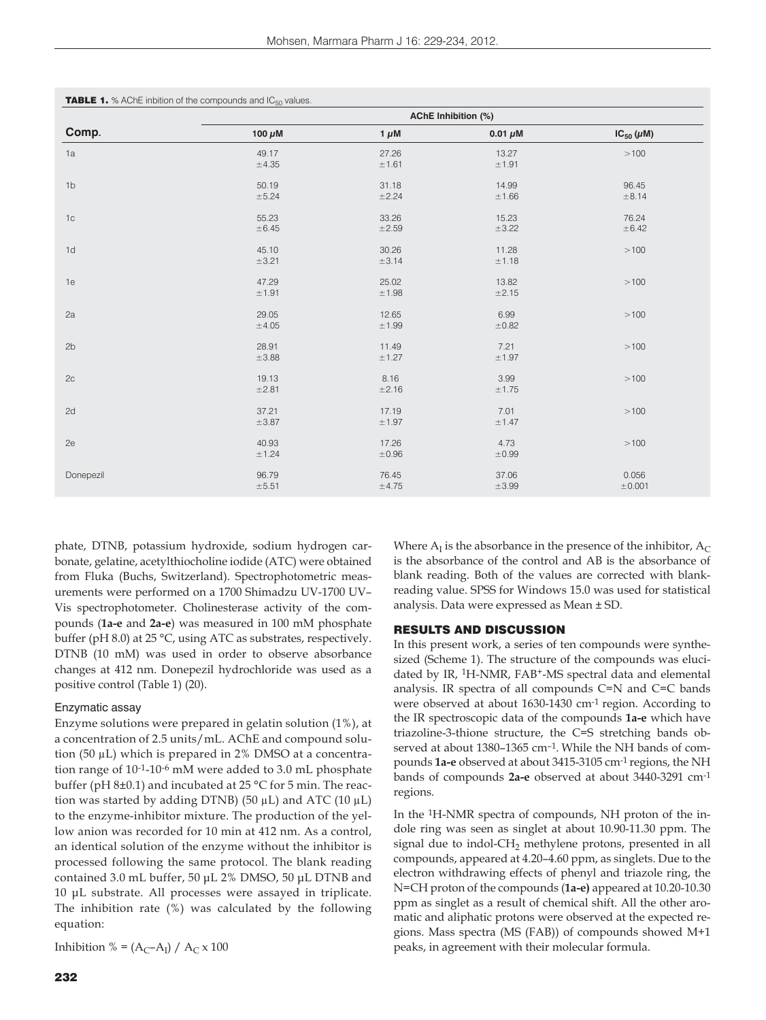| Comp.          | <b>AChE Inhibition (%)</b> |           |              |                  |
|----------------|----------------------------|-----------|--------------|------------------|
|                | 100 $\mu$ M                | $1 \mu M$ | 0.01 $\mu$ M | $IC_{50}(\mu M)$ |
| 1a             | 49.17                      | 27.26     | 13.27        | >100             |
|                | ±4.35                      | ±1.61     | ± 1.91       |                  |
| 1 <sub>b</sub> | 50.19                      | 31.18     | 14.99        | 96.45            |
|                | ± 5.24                     | ±2.24     | ±1.66        | ±8.14            |
| 1 <sub>c</sub> | 55.23                      | 33.26     | 15.23        | 76.24            |
|                | ±6.45                      | ±2.59     | ±3.22        | ±6.42            |
| 1 <sub>d</sub> | 45.10                      | 30.26     | 11.28        | >100             |
|                | ±3.21                      | ±3.14     | ±1.18        |                  |
| 1e             | 47.29                      | 25.02     | 13.82        | >100             |
|                | ±1.91                      | ±1.98     | ±2.15        |                  |
| 2a             | 29.05                      | 12.65     | 6.99         | >100             |
|                | ±4.05                      | ±1.99     | ±0.82        |                  |
| 2b             | 28.91                      | 11.49     | 7.21         | >100             |
|                | ±3.88                      | ±1.27     | ±1.97        |                  |
| 2c             | 19.13                      | 8.16      | 3.99         | >100             |
|                | ±2.81                      | ±2.16     | $\pm$ 1.75   |                  |
| 2d             | 37.21                      | 17.19     | 7.01         | >100             |
|                | ±3.87                      | ±1.97     | ±1.47        |                  |
| 2e             | 40.93                      | 17.26     | 4.73         | >100             |
|                | ±1.24                      | ±0.96     | ±0.99        |                  |
| Donepezil      | 96.79                      | 76.45     | 37.06        | 0.056            |
|                | ±5.51                      | ±4.75     | ±3.99        | ±0.001           |

**TABLE 1.** % AChE inbition of the compounds and  $IC_{50}$  values.

phate, DTNB, potassium hydroxide, sodium hydrogen carbonate, gelatine, acetylthiocholine iodide (ATC) were obtained from Fluka (Buchs, Switzerland). Spectrophotometric measurements were performed on a 1700 Shimadzu UV-1700 UV– Vis spectrophotometer. Cholinesterase activity of the compounds (**1a-e** and **2a-e**) was measured in 100 mM phosphate buffer (pH 8.0) at 25 °C, using ATC as substrates, respectively. DTNB (10 mM) was used in order to observe absorbance changes at 412 nm. Donepezil hydrochloride was used as a positive control (Table 1) (20).

## Enzymatic assay

Enzyme solutions were prepared in gelatin solution (1%), at a concentration of 2.5 units/mL. AChE and compound solution (50 μL) which is prepared in 2% DMSO at a concentration range of 10-1-10-6 mM were added to 3.0 mL phosphate buffer (pH 8±0.1) and incubated at 25 °C for 5 min. The reaction was started by adding DTNB) (50 μL) and ATC (10 μL) to the enzyme-inhibitor mixture. The production of the yellow anion was recorded for 10 min at 412 nm. As a control, an identical solution of the enzyme without the inhibitor is processed following the same protocol. The blank reading contained 3.0 mL buffer, 50 μL 2% DMSO, 50 μL DTNB and 10 μL substrate. All processes were assayed in triplicate. The inhibition rate (%) was calculated by the following equation:

Inhibition % =  $(A_C-A_I) / A_C \times 100$ 

Where  $A_I$  is the absorbance in the presence of the inhibitor,  $A_C$ is the absorbance of the control and AB is the absorbance of blank reading. Both of the values are corrected with blankreading value. SPSS for Windows 15.0 was used for statistical analysis. Data were expressed as Mean ± SD.

## RESULTS AND DISCUSSION

In this present work, a series of ten compounds were synthesized (Scheme 1). The structure of the compounds was elucidated by IR, 1H-NMR, FAB+-MS spectral data and elemental analysis. IR spectra of all compounds C=N and C=C bands were observed at about 1630-1430 cm-1 region. According to the IR spectroscopic data of the compounds **1a-e** which have triazoline-3-thione structure, the C=S stretching bands observed at about 1380–1365 cm–1. While the NH bands of compounds **1a-e** observed at about 3415-3105 cm-1 regions, the NH bands of compounds **2a-e** observed at about 3440-3291 cm-1 regions.

In the 1H-NMR spectra of compounds, NH proton of the indole ring was seen as singlet at about 10.90-11.30 ppm. The signal due to indol-CH<sub>2</sub> methylene protons, presented in all compounds, appeared at 4.20–4.60 ppm, as singlets. Due to the electron withdrawing effects of phenyl and triazole ring, the N=CH proton of the compounds (**1a-e)** appeared at 10.20-10.30 ppm as singlet as a result of chemical shift. All the other aromatic and aliphatic protons were observed at the expected regions. Mass spectra (MS (FAB)) of compounds showed M+1 peaks, in agreement with their molecular formula.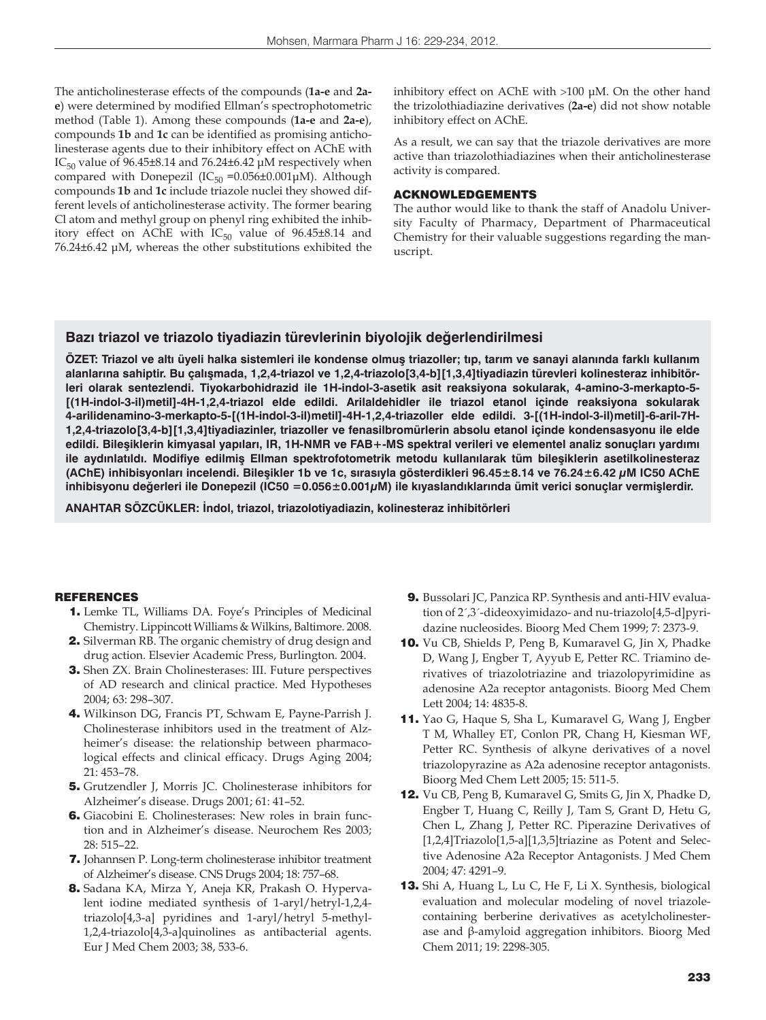The anticholinesterase effects of the compounds (**1a-e** and **2ae**) were determined by modified Ellman's spectrophotometric method (Table 1). Among these compounds (**1a-e** and **2a-e**), compounds **1b** and **1c** can be identified as promising anticholinesterase agents due to their inhibitory effect on AChE with IC<sub>50</sub> value of 96.45 $\pm$ 8.14 and 76.24 $\pm$ 6.42  $\mu$ M respectively when compared with Donepezil ( $IC_{50} = 0.056 \pm 0.001 \mu M$ ). Although compounds **1b** and **1c** include triazole nuclei they showed different levels of anticholinesterase activity. The former bearing Cl atom and methyl group on phenyl ring exhibited the inhibitory effect on AChE with  $IC_{50}$  value of 96.45±8.14 and 76.24±6.42 μM, whereas the other substitutions exhibited the

inhibitory effect on AChE with  $>100$  μM. On the other hand the trizolothiadiazine derivatives (**2a-e**) did not show notable inhibitory effect on AChE.

As a result, we can say that the triazole derivatives are more active than triazolothiadiazines when their anticholinesterase activity is compared.

# ACKNOWLEDGEMENTS

The author would like to thank the staff of Anadolu University Faculty of Pharmacy, Department of Pharmaceutical Chemistry for their valuable suggestions regarding the manuscript.

# **Bazı triazol ve triazolo tiyadiazin türevlerinin biyolojik değerlendirilmesi**

**ÖZET: Triazol ve altı üyeli halka sistemleri ile kondense olmuş triazoller; tıp, tarım ve sanayi alanında farklı kullanım alanlarına sahiptir. Bu çalışmada, 1,2,4-triazol ve 1,2,4-triazolo[3,4-b][1,3,4]tiyadiazin türevleri kolinesteraz inhibitörleri olarak sentezlendi. Tiyokarbohidrazid ile 1H-indol-3-asetik asit reaksiyona sokularak, 4-amino-3-merkapto-5- [(1H-indol-3-il)metil]-4H-1,2,4-triazol elde edildi. Arilaldehidler ile triazol etanol içinde reaksiyona sokularak 4-arilidenamino-3-merkapto-5-[(1H-indol-3-il)metil]-4H-1,2,4-triazoller elde edildi. 3-[(1H-indol-3-il)metil]-6-aril-7H-1,2,4-triazolo[3,4-b][1,3,4]tiyadiazinler, triazoller ve fenasilbromürlerin absolu etanol içinde kondensasyonu ile elde edildi. Bileşiklerin kimyasal yapıları, IR, 1H-NMR ve FAB+-MS spektral verileri ve elementel analiz sonuçları yardımı ile aydınlatıldı. Modifiye edilmiş Ellman spektrofotometrik metodu kullanılarak tüm bileşiklerin asetilkolinesteraz (AChE) inhibisyonları incelendi. Bileşikler 1b ve 1c, sırasıyla gösterdikleri 96.45±8.14 ve 76.24±6.42 μM IC50 AChE inhibisyonu değerleri ile Donepezil (IC50 =0.056±0.001μM) ile kıyaslandıklarında ümit verici sonuçlar vermişlerdir.**

**ANAHTAR SÖZCÜKLER: İndol, triazol, triazolotiyadiazin, kolinesteraz inhibitörleri**

### REFERENCES

- 1. Lemke TL, Williams DA. Foye's Principles of Medicinal Chemistry. Lippincott Williams & Wilkins, Baltimore. 2008.
- 2. Silverman RB. The organic chemistry of drug design and drug action. Elsevier Academic Press, Burlington. 2004.
- 3. Shen ZX. Brain Cholinesterases: III. Future perspectives of AD research and clinical practice. Med Hypotheses 2004; 63: 298–307.
- 4. Wilkinson DG, Francis PT, Schwam E, Payne-Parrish J. Cholinesterase inhibitors used in the treatment of Alzheimer's disease: the relationship between pharmacological effects and clinical efficacy. Drugs Aging 2004; 21: 453–78.
- 5. Grutzendler J, Morris JC. Cholinesterase inhibitors for Alzheimer's disease. Drugs 2001; 61: 41–52.
- 6. Giacobini E. Cholinesterases: New roles in brain function and in Alzheimer's disease. Neurochem Res 2003; 28: 515–22.
- 7. Johannsen P. Long-term cholinesterase inhibitor treatment of Alzheimer's disease. CNS Drugs 2004; 18: 757–68.
- 8. Sadana KA, Mirza Y, Aneja KR, Prakash O. Hypervalent iodine mediated synthesis of 1-aryl/hetryl-1,2,4 triazolo[4,3-a] pyridines and 1-aryl/hetryl 5-methyl-1,2,4-triazolo[4,3-a]quinolines as antibacterial agents. Eur J Med Chem 2003; 38, 533-6.
- 9. Bussolari JC, Panzica RP. Synthesis and anti-HIV evaluation of 2´,3´-dideoxyimidazo- and nu-triazolo[4,5-d]pyridazine nucleosides. Bioorg Med Chem 1999; 7: 2373-9.
- 10. Vu CB, Shields P, Peng B, Kumaravel G, Jin X, Phadke D, Wang J, Engber T, Ayyub E, Petter RC. Triamino derivatives of triazolotriazine and triazolopyrimidine as adenosine A2a receptor antagonists. Bioorg Med Chem Lett 2004; 14: 4835-8.
- 11. Yao G, Haque S, Sha L, Kumaravel G, Wang J, Engber T M, Whalley ET, Conlon PR, Chang H, Kiesman WF, Petter RC. Synthesis of alkyne derivatives of a novel triazolopyrazine as A2a adenosine receptor antagonists. Bioorg Med Chem Lett 2005; 15: 511-5.
- 12. Vu CB, Peng B, Kumaravel G, Smits G, Jin X, Phadke D, Engber T, Huang C, Reilly J, Tam S, Grant D, Hetu G, Chen L, Zhang J, Petter RC. Piperazine Derivatives of [1,2,4]Triazolo[1,5-a][1,3,5]triazine as Potent and Selective Adenosine A2a Receptor Antagonists. J Med Chem 2004; 47: 4291–9.
- 13. Shi A, Huang L, Lu C, He F, Li X. Synthesis, biological evaluation and molecular modeling of novel triazolecontaining berberine derivatives as acetylcholinesterase and β-amyloid aggregation inhibitors. Bioorg Med Chem 2011; 19: 2298-305.